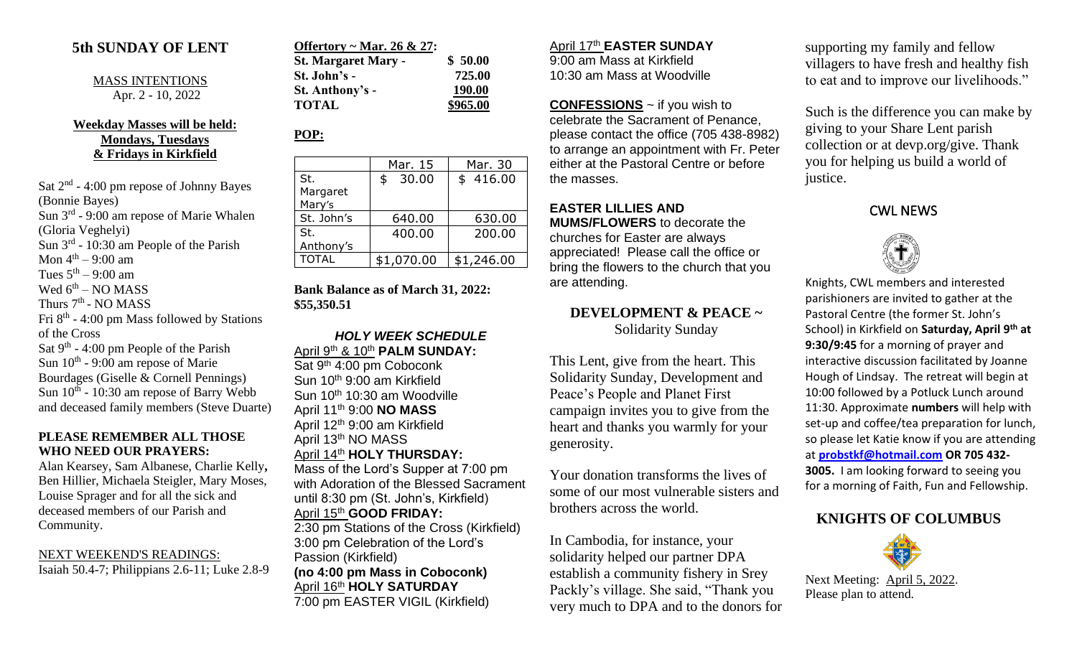### **5th SUNDAY OF LENT**

MASS INTENTIONS Apr. 2 - 10, 2022

#### **Weekday Masses will be held: Mondays, Tuesdays & Fridays in Kirkfield**

Sat 2<sup>nd</sup> - 4:00 pm repose of Johnny Bayes (Bonnie Bayes) Sun 3<sup>rd</sup> - 9:00 am repose of Marie Whalen (Gloria Veghelyi) Sun  $3^{rd}$  - 10:30 am People of the Parish Mon  $4^{\text{th}} - 9:00$  am Tues  $5<sup>th</sup> - 9:00$  am Wed  $6^{\text{th}}$  – NO MASS Thurs 7<sup>th</sup> - NO MASS Fri  $8<sup>th</sup>$  - 4:00 pm Mass followed by Stations of the Cross Sat  $9<sup>th</sup> - 4:00$  pm People of the Parish Sun  $10^{th}$  - 9:00 am repose of Marie Bourdages (Giselle & Cornell Pennings) Sun  $10^{th}$  - 10:30 am repose of Barry Webb and deceased family members (Steve Duarte)

#### **PLEASE REMEMBER ALL THOSE WHO NEED OUR PRAYERS:**

Alan Kearsey, Sam Albanese, Charlie Kelly**,**  Ben Hillier, Michaela Steigler, Mary Moses, Louise Sprager and for all the sick and deceased members of our Parish and Community.

#### NEXT WEEKEND'S READINGS: Isaiah 50.4-7; Philippians 2.6-11; Luke 2.8-9

| Offertory ~ Mar. 26 & 27:  |          |
|----------------------------|----------|
| <b>St. Margaret Mary -</b> | \$50.00  |
| St. John's -               | 725.00   |
| St. Anthony's -            | 190.00   |
| <b>TOTAL</b>               | \$965.00 |

# **POP:**

|                 | Mar. 15     | Mar. 30    |
|-----------------|-------------|------------|
| St.<br>Margaret | 30.00<br>\$ | \$416.00   |
| Mary's          |             |            |
| St. John's      | 640.00      | 630.00     |
| St.             | 400.00      | 200.00     |
| Anthony's       |             |            |
| <b>TOTAL</b>    | \$1,070.00  | \$1,246.00 |

**Bank Balance as of March 31, 2022: \$55,350.51**

#### *HOLY WEEK SCHEDULE* April 9th & 10th **PALM SUNDAY:**

Sat 9<sup>th</sup> 4:00 pm Coboconk Sun 10th 9:00 am Kirkfield Sun 10th 10:30 am Woodville April 11th 9:00 **NO MASS** April 12th 9:00 am Kirkfield April 13th NO MASS April 14th **HOLY THURSDAY:**

Mass of the Lord's Supper at 7:00 pm with Adoration of the Blessed Sacrament until 8:30 pm (St. John's, Kirkfield) April 15th **GOOD FRIDAY:**

2:30 pm Stations of the Cross (Kirkfield) 3:00 pm Celebration of the Lord's Passion (Kirkfield) **(no 4:00 pm Mass in Coboconk)**

April 16th **HOLY SATURDAY** 7:00 pm EASTER VIGIL (Kirkfield)

#### April 17th **EASTER SUNDAY**

9:00 am Mass at Kirkfield 10:30 am Mass at Woodville

**CONFESSIONS** ~ if you wish to celebrate the Sacrament of Penance, please contact the office (705 438-8982) to arrange an appointment with Fr. Peter either at the Pastoral Centre or before the masses.

## **EASTER LILLIES AND**

**MUMS/FLOWERS** to decorate the churches for Easter are always appreciated! Please call the office or bring the flowers to the church that you are attending.

### **DEVELOPMENT & PEACE ~** Solidarity Sunday

This Lent, give from the heart. This Solidarity Sunday, Development and Peace's People and Planet First campaign invites you to give from the heart and thanks you warmly for your generosity.

Your donation transforms the lives of some of our most vulnerable sisters and brothers across the world.

In Cambodia, for instance, your solidarity helped our partner DPA establish a community fishery in Srey Packly's village. She said, "Thank you very much to DPA and to the donors for supporting my family and fellow villagers to have fresh and healthy fish to eat and to improve our livelihoods."

Such is the difference you can make by giving to your Share Lent parish collection or at devp.org/give. Thank you for helping us build a world of justice.

#### CWL NEWS



Knights, CWL members and interested parishioners are invited to gather at the Pastoral Centre (the former St. John's School) in Kirkfield on **Saturday, April 9th at 9:30/9:45** for a morning of prayer and interactive discussion facilitated by Joanne Hough of Lindsay. The retreat will begin at 10:00 followed by a Potluck Lunch around 11:30. Approximate **numbers** will help with set-up and coffee/tea preparation for lunch, so please let Katie know if you are attending at **[probstkf@hotmail.com](mailto:probstkf@hotmail.com) OR 705 432- 3005.** I am looking forward to seeing you for a morning of Faith, Fun and Fellowship.

## **KNIGHTS OF COLUMBUS**



Next Meeting: April 5, 2022. Please plan to attend.